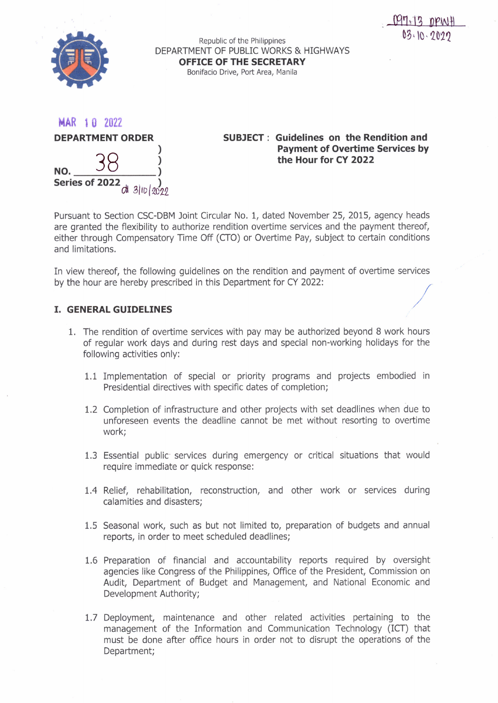

|     |  | <b>DEPARTMENT ORDER</b> |  |
|-----|--|-------------------------|--|
| NO. |  |                         |  |

**Series of 2022**  $\frac{1}{\mathcal{A}^{1}}$  3 ID  $\frac{1}{2022}$ 

**SUBJECT: Guidelines on the Rendition and Payment of Overtime Services by the Hour for CY 2022**

Pursuant to Section CSC-DBM Joint Circular No.1, dated November 25, 2015, agency heads are granted the flexibility to authorize rendition overtime services and the payment thereof, either through Compensatory Time Off (CTO) or Overtime Pay, subject to certain conditions and limitations.

In view thereof, the following guidelines on the rendition and payment of overtime services by the hour are hereby prescribed in this Department for CY 2022: In view thereof, the following guidelines on the rendition and payment of overtime services<br>by the hour are hereby prescribed in this Department for CY 2022:<br>**I. GENERAL GUIDELINES** 

- 1. The rendition of overtime services with pay may be authorized beyond 8 work hours of regular work days and during rest days and special non-working holidays for the following activities only:
	- 1.1 Implementation of special or priority programs and projects embodied in Presidential directives with specific dates of completion;
	- 1.2 Completion of infrastructure and other projects with set deadlines when due to unforeseen events the deadline cannot be met without resorting to overtime work;
	- 1.3 Essential public services during emergency or critical situations that would require immediate or quick response:
	- 1.4 Relief, rehabilitation, reconstruction, and other work or services during calamities and disasters;
	- 1.5 Seasonal work, such as but not limited to, preparation of budgets and annual reports, in order to meet scheduled deadlines;
	- 1.6 Preparation of financial and accountability reports required by oversight agencies like Congress of the Philippines, Office of the President, Commission on Audit, Department of Budget and Management, and National Economic and Development Authority;
	- 1.7 Deployment, maintenance and other related activities pertaining to the management of the Information and Communication Technology (lCT) that must be done after office hours in order not to disrupt the operations of the Department;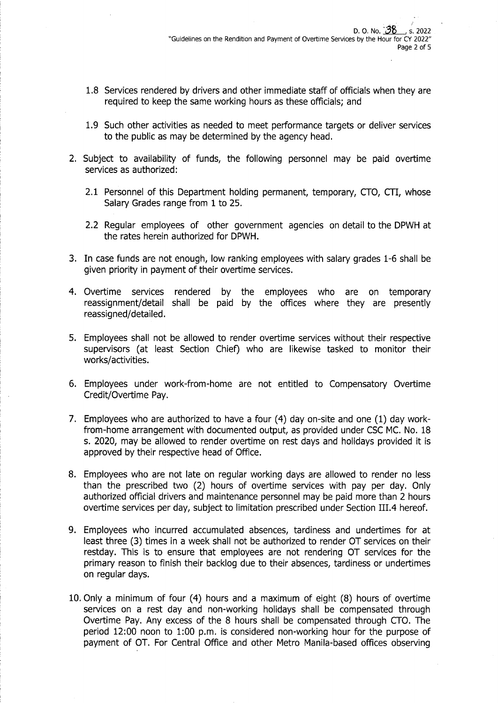- 1.8 Services rendered by drivers and other immediate staff of officials when they are required to keep the same working hours as these officials; and
- 1.9 Such other activities as needed to meet performance targets or deliver services to the public as may be determined by the agency head.
- 2. Subject to availability of funds, the following personnel may be paid overtime services as authorized:
	- 2.1 Personnel of this Department holding permanent, temporary, CTO, CTI, whose Salary Grades range from 1 to 25.
	- 2.2 Regular employees of other government agencies on detail to the DPWH at the rates herein authorized for DPWH.
- 3. In case funds are not enough, low ranking employees with salary grades 1-6 shall be given priority in payment of their overtime services.
- 4. Overtime services rendered by the employees who are on temporary reassignment/detail shall be paid by the offices where they are presently reassigned/detailed.
- 5. Employees shall not be allowed to render overtime services without their respective supervisors (at least Section Chief) who are likewise tasked to monitor their works/activities.
- 6. Employees under work-from-home are not entitled to Compensatory Overtime Credit/Overtime Pay.
- 7. Employees who are authorized to have a four (4) day on-site and one (1) day workfrom-home arrangement with documented output, as provided under CSC MC. No. 18 s. 2020, may be allowed to render overtime on rest days and holidays provided it is approved by their respective head of Office.
- 8. Employees who are not late on regular working days are allowed to render no less than the prescribed two (2) hours of overtime services with pay per day. Only authorized official drivers and maintenance personnel may be paid more than 2 hours overtime services per day, subject to limitation prescribed under Section III.4 hereof.
- 9. Employees who incurred accumulated absences, tardiness and undertimes for at least three (3) times in a week shall not be authorized to render OT services on their restday. This is to ensure that employees are not rendering OT services for the primary reason to finish their backlog due to their absences, tardiness or undertimes on regular days.
- 10. Only a minimum of four (4) hours and a maximum of eight (8) hours of overtime services on a rest day and non-working holidays shall be compensated through Overtime Pay. Any excess of the 8 hours shall be compensated through CTO. The period 12:00 noon to 1:00 p.m. is considered non-working hour for the purpose of payment of OT. For Central Office and other Metro Manila-based offices observing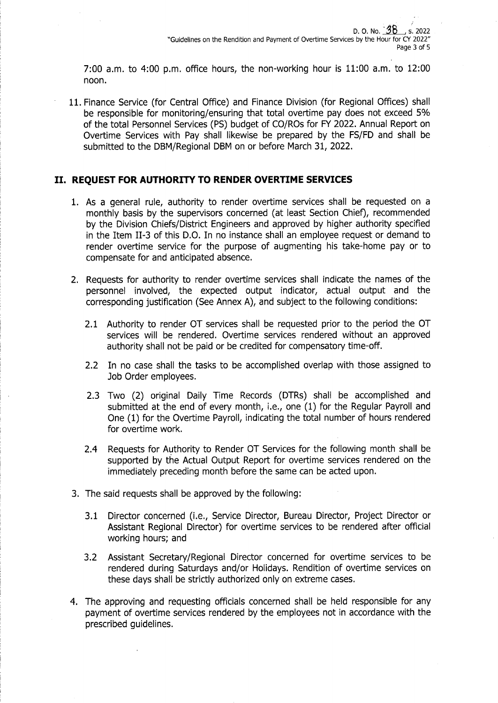7:00 a.m. to 4:00 p.m. office hours, the non-working hour is 11:00 a.m. to 12:00 noon.

11. Finance Service (for Central Office) and Finance Division (for Regional Offices) shall be responsible for monitoring/ensuring that total overtime pay does not exceed 5% of the total Personnel Services (PS) budget of CO/ROs for FY 2022. Annual Report on Overtime Services with Pay shall likewise be prepared by the FS/FD and shall be submitted to the DBM/Regional DBM on or before March 31, 2022.

# **II. REQUEST FOR AUTHORITY TO RENDER OVERTIME SERVICES**

- 1. As a general rule, authority to render overtime services shall be requested on a monthly basis by the supervisors concerned (at least Section Chief), recommended by the Division Chiefs/District Engineers and approved by higher authority specified in the Item II-3 of this D.O. In no instance shall an employee request or demand to render overtime service for the purpose of augmenting his take-home pay or to compensate for and anticipated absence.
- 2. Requests for authority to render overtime services shall indicate the names of the personnel involved, the expected output indicator, actual output and the corresponding justification (See Annex A), and subject to the following conditions:
	- 2.1 Authority to render OT services shall be requested prior to the period the OT services will be rendered. Overtime services rendered without an approved authority shall not be paid or be credited for compensatory time-off.
	- 2.2 In no case shall the tasks to be accomplished overlap with those assigned to Job Order employees.
	- 2.3 Two (2) original Daily Time Records (DTRs) shall be accomplished and submitted at the end of every month, i.e., one (1) for the Regular Payroll and One (1) for the Overtime Payroll, indicating the total number of hours rendered for overtime work.
	- 2.4 Requests for Authority to Render OT Services for the following month shall be supported by the Actual Output Report for overtime services rendered on the immediately preceding month before the same can be acted upon.
- 3. The said requests shall be approved by the following:
	- 3.1 Director concerned (i.e., Service Director, Bureau Director, Project Director or Assistant Regional Director) for overtime services to be rendered after official working hours; and
	- 3.2 Assistant Secretary/Regional Director concerned for overtime services to be rendered during Saturdays and/or Holidays. Rendition of overtime services on these days shall be strictly authorized only on extreme cases.
- 4. The approving and requesting officials concerned shall be held responsible for any payment of overtime services rendered by the employees not in accordance with the prescribed guidelines.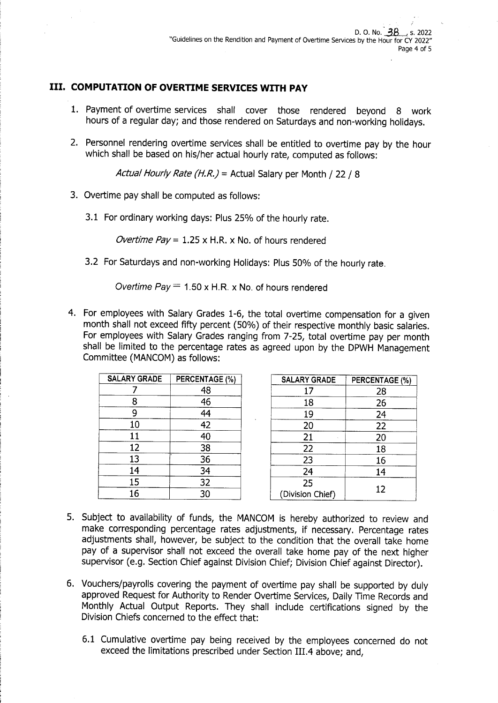# **III. COMPUTATION OF OVERTIME SERVICES WITH PAY**

- 1. Payment of overtime services shall cover those rendered beyond 8 work hours of a regular day; and those rendered on Saturdays and non-working holidays.
- 2. Personnel rendering overtime services shall be entitled to overtime pay by the hour which shall be based on his/her actual hourly rate, computed as follows:

*Actual Hourly Rate (H.R.)* = Actual Salary per Month / 22 / 8

- 3. Overtime pay shall be computed as follows:
	- 3.1 For ordinary working days: Plus 25% of the hourly rate.

*Overtime Pay* = 1.25 x H.R. x No. of hours rendered

3.2 For Saturdays and non-working Holidays: Plus 50% of the hourly rate.

*Overtime Pay* = 1.50 <sup>x</sup> H.R. <sup>x</sup> No. of hours rendered

4. For employees with Salary Grades 1-6, the total overtime compensation for a given month shall not exceed fifty percent (50%) of their respective monthly basic salaries. For employees with Salary Grades ranging from 7-25, total overtime pay per month shall be limited to the percentage rates as agreed upon by the DPWH Management Committee (MANCOM) as follows:

| <b>SALARY GRADE</b> | PERCENTAGE (%) |
|---------------------|----------------|
|                     | 48             |
| 8                   | 46             |
| 9                   | 44             |
| 10                  | 42             |
| 11                  | 40             |
| 12                  | 38             |
| 13                  | 36             |
| 14                  | 34             |
| 15                  | 32             |
| 16                  | 30             |

| <b>SALARY GRADE</b>    | PERCENTAGE (%) |
|------------------------|----------------|
| 17                     | 28             |
| 18                     | 26             |
| 19                     | 24             |
| 20                     | 22             |
| 21                     | 20             |
| 22                     | 18             |
| 23                     | 16             |
| 24                     | 14             |
| 25<br>(Division Chief) | 12             |

- 5. Subject to availability of funds, the MANCOM is hereby authorized to review and make corresponding percentage rates adjustments, if necessary. Percentage rates adjustments shall, however, be subject to the condition that the overall take home pay of a supervisor shall not exceed the overall take home pay of the next higher supervisor (e.g. Section Chief against Division Chief; Division Chief against Director).
- 6. Vouchers/payrolls covering the payment of overtime pay shall be supported by duly approved Request for Authority to Render Overtime Services, Daily Time Records and Monthly Actual Output Reports. They shall include certifications signed by the Division Chiefs concerned to the effect that:
	- 6.1 Cumulative overtime pay being received by the employees concerned do not exceed the limitations prescribed under Section III.4 above; and,